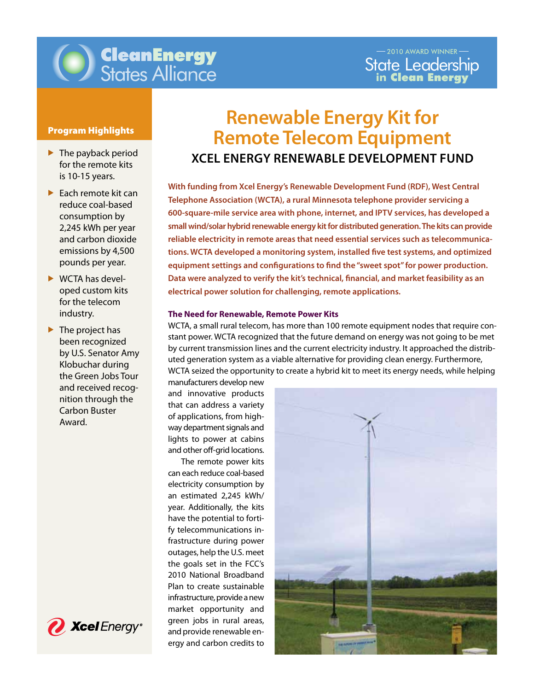

# **CleanEnergy**<br>States Alliance

## Program Highlights

- $\blacktriangleright$  The payback period for the remote kits is 10-15 years.
- $\blacktriangleright$  Each remote kit can reduce coal-based consumption by 2,245 kWh per year and carbon dioxide emissions by 4,500 pounds per year.
- $\triangleright$  WCTA has developed custom kits for the telecom industry.
- $\blacktriangleright$  The project has been recognized by U.S. Senator Amy Klobuchar during the Green Jobs Tour and received recognition through the Carbon Buster Award.



# **Renewable Energy Kit for Remote Telecom Equipment Xcel Energy Renewable Development Fund**

electrical power solution for challenging, remote applications. **With funding from Xcel Energy's Renewable Development Fund (RDF), West Central Telephone Association (WCTA), a rural Minnesota telephone provider servicing a 600-square-mile service area with phone, internet, and IPTV services, has developed a small wind/solar hybrid renewable energy kit for distributed generation. The kits can provide reliable electricity in remote areas that need essential services such as telecommunications. WCTA developed a monitoring system, installed five test systems, and optimized equipment settings and configurations to find the "sweet spot" for power production. Data were analyzed to verify the kit's technical, financial, and market feasibility as an** 

#### **The Need for Renewable, Remote Power Kits**

WCTA, a small rural telecom, has more than 100 remote equipment nodes that require constant power. WCTA recognized that the future demand on energy was not going to be met by current transmission lines and the current electricity industry. It approached the distributed generation system as a viable alternative for providing clean energy. Furthermore, WCTA seized the opportunity to create a hybrid kit to meet its energy needs, while helping

manufacturers develop new and innovative products that can address a variety of applications, from highway department signals and lights to power at cabins and other off-grid locations.

 The remote power kits can each reduce coal-based electricity consumption by an estimated 2,245 kWh/ year. Additionally, the kits have the potential to fortify telecommunications infrastructure during power outages, help the U.S. meet the goals set in the FCC's 2010 National Broadband Plan to create sustainable infrastructure, provide a new market opportunity and green jobs in rural areas, and provide renewable energy and carbon credits to